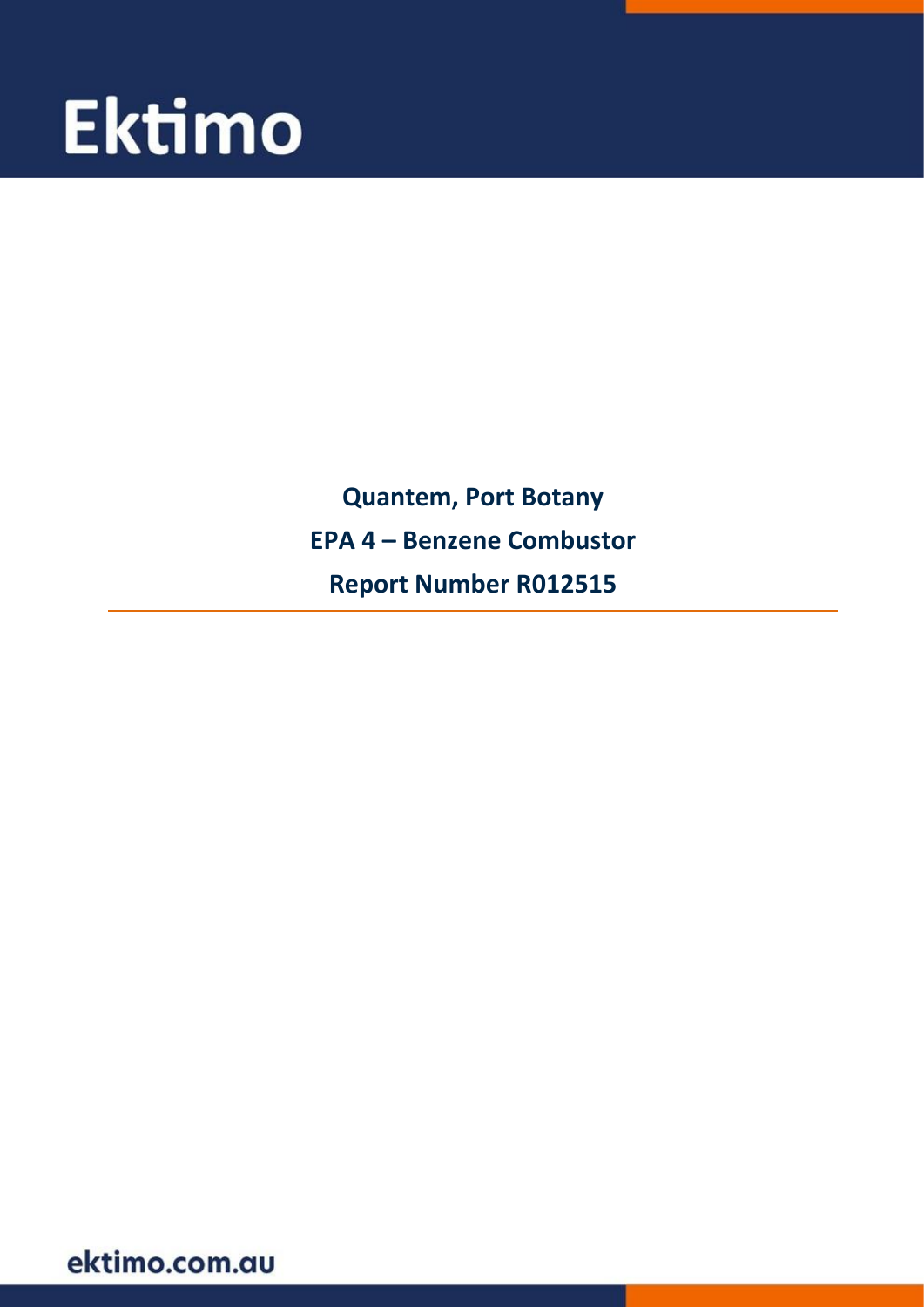# **Ektimo**

**Quantem, Port Botany EPA 4 - Benzene Combustor Report Number R012515** 

ektimo.com.au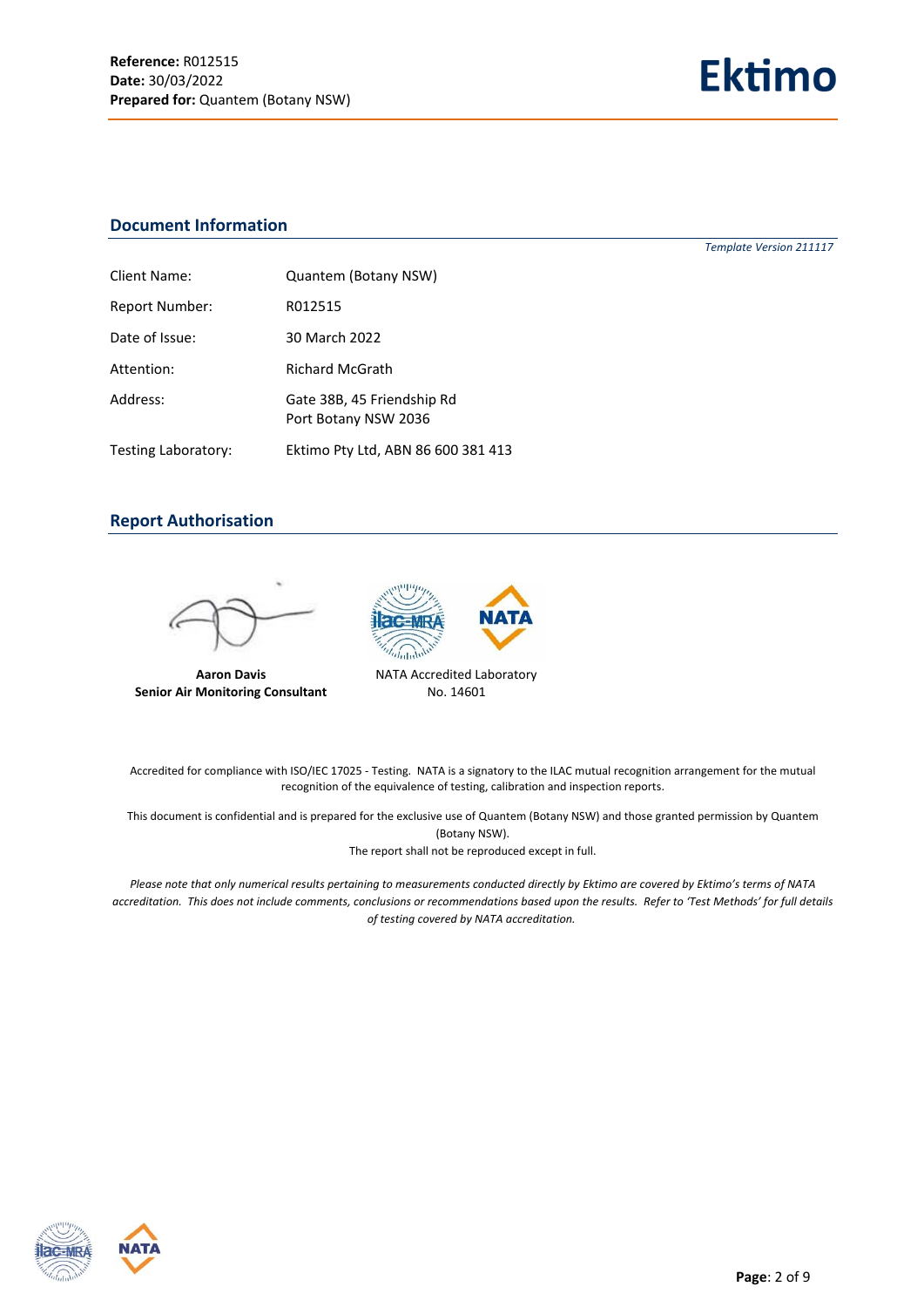*Template Version 211117*

#### **Document Information**

| Client Name:          | Quantem (Botany NSW)                               |
|-----------------------|----------------------------------------------------|
| <b>Report Number:</b> | R012515                                            |
| Date of Issue:        | 30 March 2022                                      |
| Attention:            | <b>Richard McGrath</b>                             |
| Address:              | Gate 38B, 45 Friendship Rd<br>Port Botany NSW 2036 |
| Testing Laboratory:   | Ektimo Pty Ltd, ABN 86 600 381 413                 |

#### **Report Authorisation**



**Aaron Davis Senior Air Monitoring Consultant**



No. 14601

Accredited for compliance with ISO/IEC 17025 - Testing. NATA is a signatory to the ILAC mutual recognition arrangement for the mutual recognition of the equivalence of testing, calibration and inspection reports.

This document is confidential and is prepared for the exclusive use of Quantem (Botany NSW) and those granted permission by Quantem (Botany NSW).

The report shall not be reproduced except in full.

*Please note that only numerical results pertaining to measurements conducted directly by Ektimo are covered by Ektimo's terms of NATA accreditation. This does not include comments, conclusions or recommendations based upon the results. Refer to 'Test Methods' for full details of testing covered by NATA accreditation.*



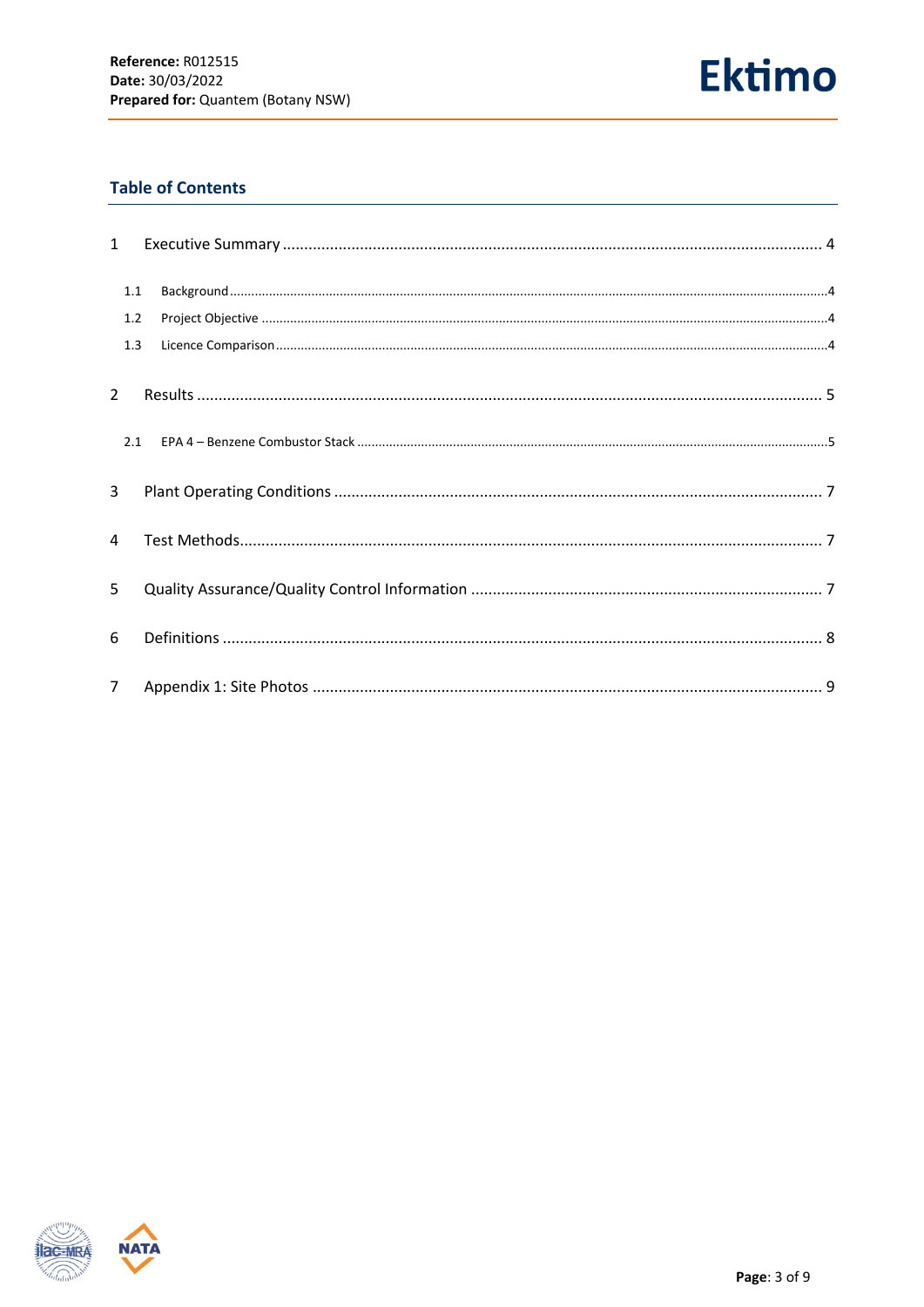

# **Table of Contents**

| $\mathbf{1}$   |     |  |
|----------------|-----|--|
|                | 1.1 |  |
|                | 1.2 |  |
|                | 1.3 |  |
| $\overline{2}$ |     |  |
|                |     |  |
| 3              |     |  |
| $\overline{4}$ |     |  |
| 5              |     |  |
| 6              |     |  |
| 7 <sup>7</sup> |     |  |

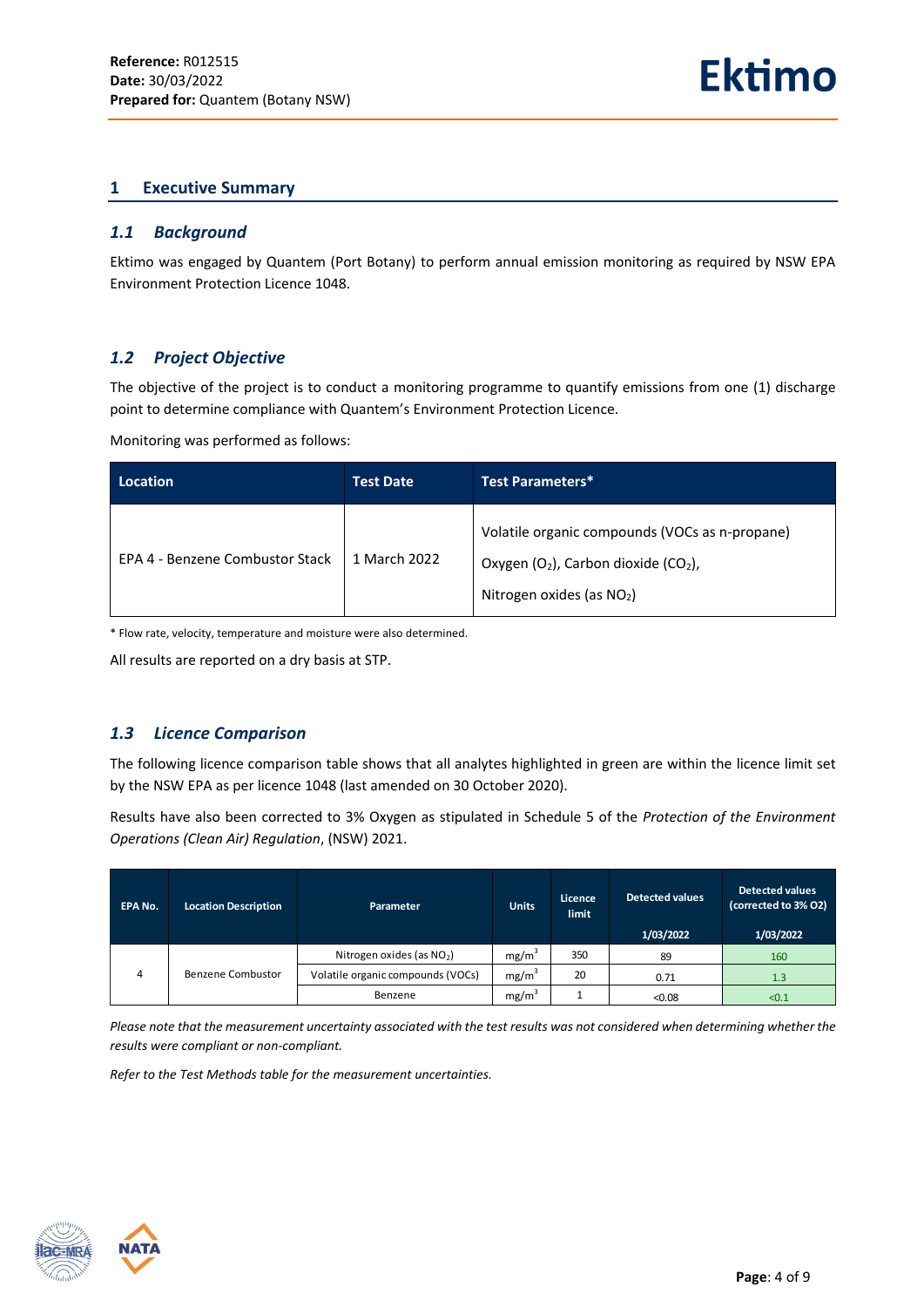#### <span id="page-3-0"></span>**1 Executive Summary**

#### <span id="page-3-1"></span>*1.1 Background*

Ektimo was engaged by Quantem (Port Botany) to perform annual emission monitoring as required by NSW EPA Environment Protection Licence 1048.

# <span id="page-3-2"></span>*1.2 Project Objective*

The objective of the project is to conduct a monitoring programme to quantify emissions from one (1) discharge point to determine compliance with Quantem's Environment Protection Licence.

Monitoring was performed as follows:

| Location                        | <b>Test Date</b> | Test Parameters*                                                                                                            |
|---------------------------------|------------------|-----------------------------------------------------------------------------------------------------------------------------|
| EPA 4 - Benzene Combustor Stack | 1 March 2022     | Volatile organic compounds (VOCs as n-propane)<br>Oxygen $(O_2)$ , Carbon dioxide $(CO_2)$ ,<br>Nitrogen oxides (as $NO2$ ) |

\* Flow rate, velocity, temperature and moisture were also determined.

All results are reported on a dry basis at STP.

#### <span id="page-3-3"></span>*1.3 Licence Comparison*

The following licence comparison table shows that all analytes highlighted in green are within the licence limit set by the NSW EPA as per licence 1048 (last amended on 30 October 2020).

Results have also been corrected to 3% Oxygen as stipulated in Schedule 5 of the *Protection of the Environment Operations (Clean Air) Regulation*, (NSW) 2021.

| <b>EPA No.</b> | <b>Location Description</b> | Parameter                         | <b>Units</b>      | Licence<br>limit | <b>Detected values</b><br>1/03/2022 | <b>Detected values</b><br>(corrected to 3% O2)<br>1/03/2022 |
|----------------|-----------------------------|-----------------------------------|-------------------|------------------|-------------------------------------|-------------------------------------------------------------|
|                |                             | Nitrogen oxides (as $NO2$ )       | mg/m <sup>3</sup> | 350              | 89                                  | 160                                                         |
| 4              | Benzene Combustor           | Volatile organic compounds (VOCs) | mg/m <sup>3</sup> | 20               | 0.71                                | 1.3                                                         |
|                |                             | Benzene                           | mg/m <sup>3</sup> |                  | < 0.08                              | < 0.1                                                       |

*Please note that the measurement uncertainty associated with the test results was not considered when determining whether the results were compliant or non-compliant.* 

*Refer to the Test Methods table for the measurement uncertainties.*



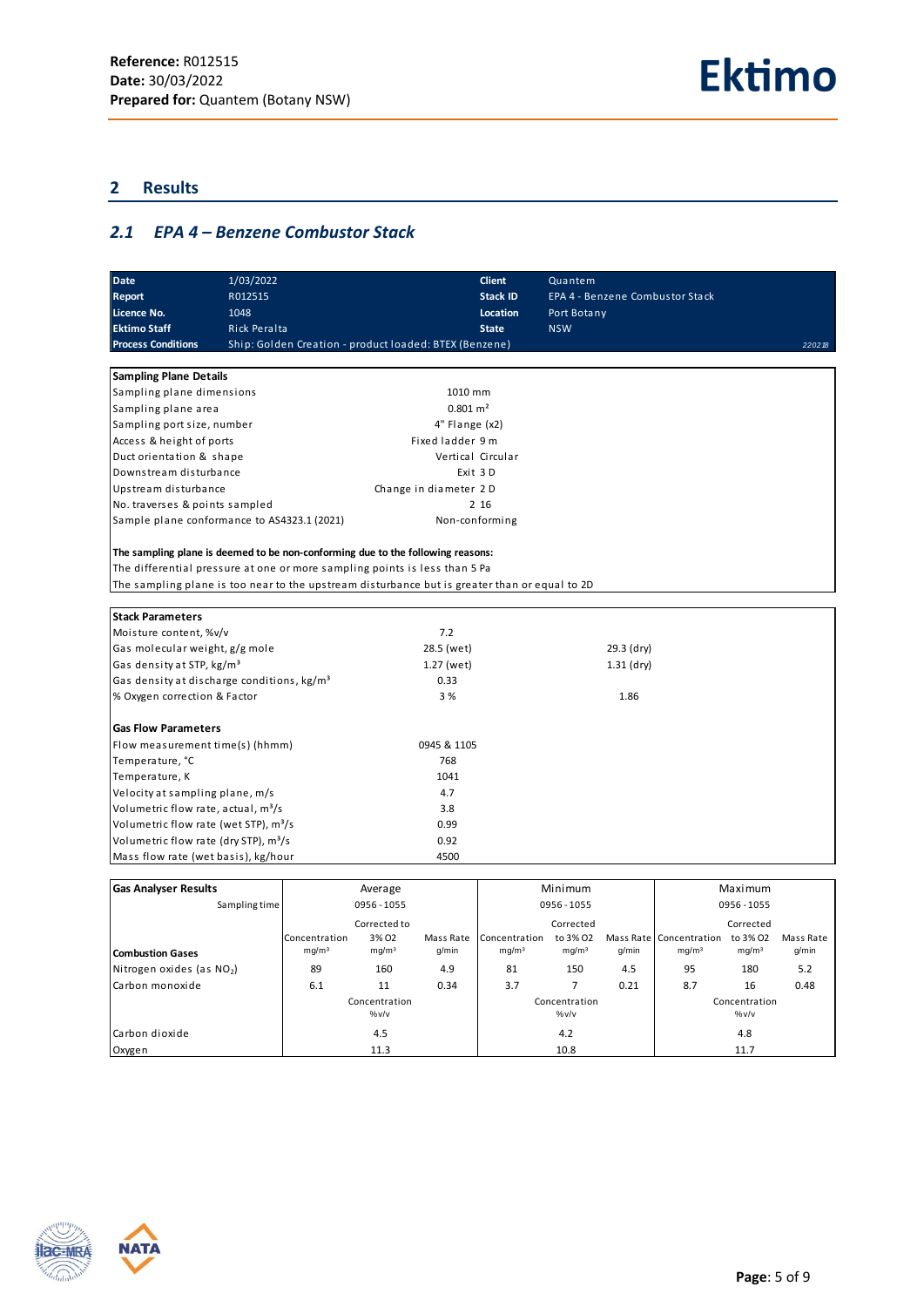# <span id="page-4-0"></span>**2 Results**

# <span id="page-4-1"></span>*2.1 EPA 4 – Benzene Combustor Stack*

| R012515<br><b>Stack ID</b><br>EPA 4 - Benzene Combustor Stack<br>Report<br>Licence No.<br>1048<br>Location<br>Port Botany<br><b>Ektimo Staff</b><br>Rick Peralta<br><b>NSW</b><br><b>State</b><br><b>Process Conditions</b><br>Ship: Golden Creation - product loaded: BTEX (Benzene)<br>220218<br><b>Sampling Plane Details</b><br>Sampling plane dimensions<br>1010 mm<br>$0.801 \text{ m}^2$<br>Sampling plane area<br>Sampling port size, number<br>4" Flange (x2)<br>Access & height of ports<br>Fixed ladder 9 m<br>Duct orientation & shape<br>Vertical Circular<br>Downstream disturbance<br>Exit 3D<br>Upstream disturbance<br>Change in diameter 2D<br>No. traverses & points sampled<br>2 16<br>Sample plane conformance to AS4323.1 (2021)<br>Non-conforming<br>The sampling plane is deemed to be non-conforming due to the following reasons:<br>The differential pressure at one or more sampling points is less than 5 Pa<br>The sampling plane is too near to the upstream disturbance but is greater than or equal to 2D<br><b>Stack Parameters</b><br>Moisture content, %v/v<br>7.2<br>Gas molecular weight, g/g mole<br>28.5 (wet)<br>29.3 (dry)<br>Gas density at STP, kg/m <sup>3</sup><br>1.27 (wet)<br>$1.31$ (dry)<br>Gas density at discharge conditions, kg/m <sup>3</sup><br>0.33<br>3 %<br>% Oxygen correction & Factor<br>1.86<br><b>Gas Flow Parameters</b><br>0945 & 1105<br>Flow measurement time(s) (hhmm)<br>Temperature, °C<br>768<br>Temperature, K<br>1041<br>Velocity at sampling plane, m/s<br>4.7<br>Volumetric flow rate, actual, m <sup>3</sup> /s<br>3.8<br>Volumetric flow rate (wet STP), m <sup>3</sup> /s<br>0.99<br>Volumetric flow rate (dry STP), m <sup>3</sup> /s<br>0.92<br>Mass flow rate (wet basis), kg/hour<br>4500 | <b>Date</b> | 1/03/2022 |  | <b>Client</b> | Quantem |  |
|-------------------------------------------------------------------------------------------------------------------------------------------------------------------------------------------------------------------------------------------------------------------------------------------------------------------------------------------------------------------------------------------------------------------------------------------------------------------------------------------------------------------------------------------------------------------------------------------------------------------------------------------------------------------------------------------------------------------------------------------------------------------------------------------------------------------------------------------------------------------------------------------------------------------------------------------------------------------------------------------------------------------------------------------------------------------------------------------------------------------------------------------------------------------------------------------------------------------------------------------------------------------------------------------------------------------------------------------------------------------------------------------------------------------------------------------------------------------------------------------------------------------------------------------------------------------------------------------------------------------------------------------------------------------------------------------------------------------------------------------------------------------------------|-------------|-----------|--|---------------|---------|--|
|                                                                                                                                                                                                                                                                                                                                                                                                                                                                                                                                                                                                                                                                                                                                                                                                                                                                                                                                                                                                                                                                                                                                                                                                                                                                                                                                                                                                                                                                                                                                                                                                                                                                                                                                                                               |             |           |  |               |         |  |
|                                                                                                                                                                                                                                                                                                                                                                                                                                                                                                                                                                                                                                                                                                                                                                                                                                                                                                                                                                                                                                                                                                                                                                                                                                                                                                                                                                                                                                                                                                                                                                                                                                                                                                                                                                               |             |           |  |               |         |  |
|                                                                                                                                                                                                                                                                                                                                                                                                                                                                                                                                                                                                                                                                                                                                                                                                                                                                                                                                                                                                                                                                                                                                                                                                                                                                                                                                                                                                                                                                                                                                                                                                                                                                                                                                                                               |             |           |  |               |         |  |
|                                                                                                                                                                                                                                                                                                                                                                                                                                                                                                                                                                                                                                                                                                                                                                                                                                                                                                                                                                                                                                                                                                                                                                                                                                                                                                                                                                                                                                                                                                                                                                                                                                                                                                                                                                               |             |           |  |               |         |  |
|                                                                                                                                                                                                                                                                                                                                                                                                                                                                                                                                                                                                                                                                                                                                                                                                                                                                                                                                                                                                                                                                                                                                                                                                                                                                                                                                                                                                                                                                                                                                                                                                                                                                                                                                                                               |             |           |  |               |         |  |
|                                                                                                                                                                                                                                                                                                                                                                                                                                                                                                                                                                                                                                                                                                                                                                                                                                                                                                                                                                                                                                                                                                                                                                                                                                                                                                                                                                                                                                                                                                                                                                                                                                                                                                                                                                               |             |           |  |               |         |  |
|                                                                                                                                                                                                                                                                                                                                                                                                                                                                                                                                                                                                                                                                                                                                                                                                                                                                                                                                                                                                                                                                                                                                                                                                                                                                                                                                                                                                                                                                                                                                                                                                                                                                                                                                                                               |             |           |  |               |         |  |
|                                                                                                                                                                                                                                                                                                                                                                                                                                                                                                                                                                                                                                                                                                                                                                                                                                                                                                                                                                                                                                                                                                                                                                                                                                                                                                                                                                                                                                                                                                                                                                                                                                                                                                                                                                               |             |           |  |               |         |  |
|                                                                                                                                                                                                                                                                                                                                                                                                                                                                                                                                                                                                                                                                                                                                                                                                                                                                                                                                                                                                                                                                                                                                                                                                                                                                                                                                                                                                                                                                                                                                                                                                                                                                                                                                                                               |             |           |  |               |         |  |
|                                                                                                                                                                                                                                                                                                                                                                                                                                                                                                                                                                                                                                                                                                                                                                                                                                                                                                                                                                                                                                                                                                                                                                                                                                                                                                                                                                                                                                                                                                                                                                                                                                                                                                                                                                               |             |           |  |               |         |  |
|                                                                                                                                                                                                                                                                                                                                                                                                                                                                                                                                                                                                                                                                                                                                                                                                                                                                                                                                                                                                                                                                                                                                                                                                                                                                                                                                                                                                                                                                                                                                                                                                                                                                                                                                                                               |             |           |  |               |         |  |
|                                                                                                                                                                                                                                                                                                                                                                                                                                                                                                                                                                                                                                                                                                                                                                                                                                                                                                                                                                                                                                                                                                                                                                                                                                                                                                                                                                                                                                                                                                                                                                                                                                                                                                                                                                               |             |           |  |               |         |  |
|                                                                                                                                                                                                                                                                                                                                                                                                                                                                                                                                                                                                                                                                                                                                                                                                                                                                                                                                                                                                                                                                                                                                                                                                                                                                                                                                                                                                                                                                                                                                                                                                                                                                                                                                                                               |             |           |  |               |         |  |
|                                                                                                                                                                                                                                                                                                                                                                                                                                                                                                                                                                                                                                                                                                                                                                                                                                                                                                                                                                                                                                                                                                                                                                                                                                                                                                                                                                                                                                                                                                                                                                                                                                                                                                                                                                               |             |           |  |               |         |  |
|                                                                                                                                                                                                                                                                                                                                                                                                                                                                                                                                                                                                                                                                                                                                                                                                                                                                                                                                                                                                                                                                                                                                                                                                                                                                                                                                                                                                                                                                                                                                                                                                                                                                                                                                                                               |             |           |  |               |         |  |
|                                                                                                                                                                                                                                                                                                                                                                                                                                                                                                                                                                                                                                                                                                                                                                                                                                                                                                                                                                                                                                                                                                                                                                                                                                                                                                                                                                                                                                                                                                                                                                                                                                                                                                                                                                               |             |           |  |               |         |  |
|                                                                                                                                                                                                                                                                                                                                                                                                                                                                                                                                                                                                                                                                                                                                                                                                                                                                                                                                                                                                                                                                                                                                                                                                                                                                                                                                                                                                                                                                                                                                                                                                                                                                                                                                                                               |             |           |  |               |         |  |
|                                                                                                                                                                                                                                                                                                                                                                                                                                                                                                                                                                                                                                                                                                                                                                                                                                                                                                                                                                                                                                                                                                                                                                                                                                                                                                                                                                                                                                                                                                                                                                                                                                                                                                                                                                               |             |           |  |               |         |  |
|                                                                                                                                                                                                                                                                                                                                                                                                                                                                                                                                                                                                                                                                                                                                                                                                                                                                                                                                                                                                                                                                                                                                                                                                                                                                                                                                                                                                                                                                                                                                                                                                                                                                                                                                                                               |             |           |  |               |         |  |
|                                                                                                                                                                                                                                                                                                                                                                                                                                                                                                                                                                                                                                                                                                                                                                                                                                                                                                                                                                                                                                                                                                                                                                                                                                                                                                                                                                                                                                                                                                                                                                                                                                                                                                                                                                               |             |           |  |               |         |  |
|                                                                                                                                                                                                                                                                                                                                                                                                                                                                                                                                                                                                                                                                                                                                                                                                                                                                                                                                                                                                                                                                                                                                                                                                                                                                                                                                                                                                                                                                                                                                                                                                                                                                                                                                                                               |             |           |  |               |         |  |
|                                                                                                                                                                                                                                                                                                                                                                                                                                                                                                                                                                                                                                                                                                                                                                                                                                                                                                                                                                                                                                                                                                                                                                                                                                                                                                                                                                                                                                                                                                                                                                                                                                                                                                                                                                               |             |           |  |               |         |  |
|                                                                                                                                                                                                                                                                                                                                                                                                                                                                                                                                                                                                                                                                                                                                                                                                                                                                                                                                                                                                                                                                                                                                                                                                                                                                                                                                                                                                                                                                                                                                                                                                                                                                                                                                                                               |             |           |  |               |         |  |
|                                                                                                                                                                                                                                                                                                                                                                                                                                                                                                                                                                                                                                                                                                                                                                                                                                                                                                                                                                                                                                                                                                                                                                                                                                                                                                                                                                                                                                                                                                                                                                                                                                                                                                                                                                               |             |           |  |               |         |  |
|                                                                                                                                                                                                                                                                                                                                                                                                                                                                                                                                                                                                                                                                                                                                                                                                                                                                                                                                                                                                                                                                                                                                                                                                                                                                                                                                                                                                                                                                                                                                                                                                                                                                                                                                                                               |             |           |  |               |         |  |
|                                                                                                                                                                                                                                                                                                                                                                                                                                                                                                                                                                                                                                                                                                                                                                                                                                                                                                                                                                                                                                                                                                                                                                                                                                                                                                                                                                                                                                                                                                                                                                                                                                                                                                                                                                               |             |           |  |               |         |  |
|                                                                                                                                                                                                                                                                                                                                                                                                                                                                                                                                                                                                                                                                                                                                                                                                                                                                                                                                                                                                                                                                                                                                                                                                                                                                                                                                                                                                                                                                                                                                                                                                                                                                                                                                                                               |             |           |  |               |         |  |
|                                                                                                                                                                                                                                                                                                                                                                                                                                                                                                                                                                                                                                                                                                                                                                                                                                                                                                                                                                                                                                                                                                                                                                                                                                                                                                                                                                                                                                                                                                                                                                                                                                                                                                                                                                               |             |           |  |               |         |  |
|                                                                                                                                                                                                                                                                                                                                                                                                                                                                                                                                                                                                                                                                                                                                                                                                                                                                                                                                                                                                                                                                                                                                                                                                                                                                                                                                                                                                                                                                                                                                                                                                                                                                                                                                                                               |             |           |  |               |         |  |
|                                                                                                                                                                                                                                                                                                                                                                                                                                                                                                                                                                                                                                                                                                                                                                                                                                                                                                                                                                                                                                                                                                                                                                                                                                                                                                                                                                                                                                                                                                                                                                                                                                                                                                                                                                               |             |           |  |               |         |  |
|                                                                                                                                                                                                                                                                                                                                                                                                                                                                                                                                                                                                                                                                                                                                                                                                                                                                                                                                                                                                                                                                                                                                                                                                                                                                                                                                                                                                                                                                                                                                                                                                                                                                                                                                                                               |             |           |  |               |         |  |
|                                                                                                                                                                                                                                                                                                                                                                                                                                                                                                                                                                                                                                                                                                                                                                                                                                                                                                                                                                                                                                                                                                                                                                                                                                                                                                                                                                                                                                                                                                                                                                                                                                                                                                                                                                               |             |           |  |               |         |  |
|                                                                                                                                                                                                                                                                                                                                                                                                                                                                                                                                                                                                                                                                                                                                                                                                                                                                                                                                                                                                                                                                                                                                                                                                                                                                                                                                                                                                                                                                                                                                                                                                                                                                                                                                                                               |             |           |  |               |         |  |
|                                                                                                                                                                                                                                                                                                                                                                                                                                                                                                                                                                                                                                                                                                                                                                                                                                                                                                                                                                                                                                                                                                                                                                                                                                                                                                                                                                                                                                                                                                                                                                                                                                                                                                                                                                               |             |           |  |               |         |  |
|                                                                                                                                                                                                                                                                                                                                                                                                                                                                                                                                                                                                                                                                                                                                                                                                                                                                                                                                                                                                                                                                                                                                                                                                                                                                                                                                                                                                                                                                                                                                                                                                                                                                                                                                                                               |             |           |  |               |         |  |
|                                                                                                                                                                                                                                                                                                                                                                                                                                                                                                                                                                                                                                                                                                                                                                                                                                                                                                                                                                                                                                                                                                                                                                                                                                                                                                                                                                                                                                                                                                                                                                                                                                                                                                                                                                               |             |           |  |               |         |  |

| <b>Gas Analyser Results</b> | Average           |                   | Minimum   |                   |                   | Maximum |                           |                   |           |
|-----------------------------|-------------------|-------------------|-----------|-------------------|-------------------|---------|---------------------------|-------------------|-----------|
| Sampling time               |                   | 0956 - 1055       |           | 0956 - 1055       |                   |         | 0956 - 1055               |                   |           |
|                             |                   | Corrected to      |           |                   | Corrected         |         |                           | Corrected         |           |
|                             | Concentration     | 3% 02             | Mass Rate | Concentration     | to 3% 02          |         | Mass Rate   Concentration | to 3% 02          | Mass Rate |
| Combustion Gases            | mq/m <sup>3</sup> | mq/m <sup>3</sup> | q/min     | mq/m <sup>3</sup> | mq/m <sup>3</sup> | q/min   | mq/m <sup>3</sup>         | mq/m <sup>3</sup> | q/min     |
| Nitrogen oxides (as $NO2$ ) | 89                | 160               | 4.9       | 81                | 150               | 4.5     | 95                        | 180               | 5.2       |
| Carbon monoxide             | 6.1               | 11                | 0.34      | 3.7               |                   | 0.21    | 8.7                       | 16                | 0.48      |
|                             |                   | Concentration     |           |                   | Concentration     |         |                           | Concentration     |           |
|                             |                   | $\frac{9}{6}V/V$  |           |                   | $\frac{9}{6}V/V$  |         |                           | %v/v              |           |
| Carbon dioxide              |                   | 4.5               |           |                   | 4.2               |         |                           | 4.8               |           |
| Oxygen                      |                   | 11.3              |           |                   | 10.8              |         |                           | 11.7              |           |

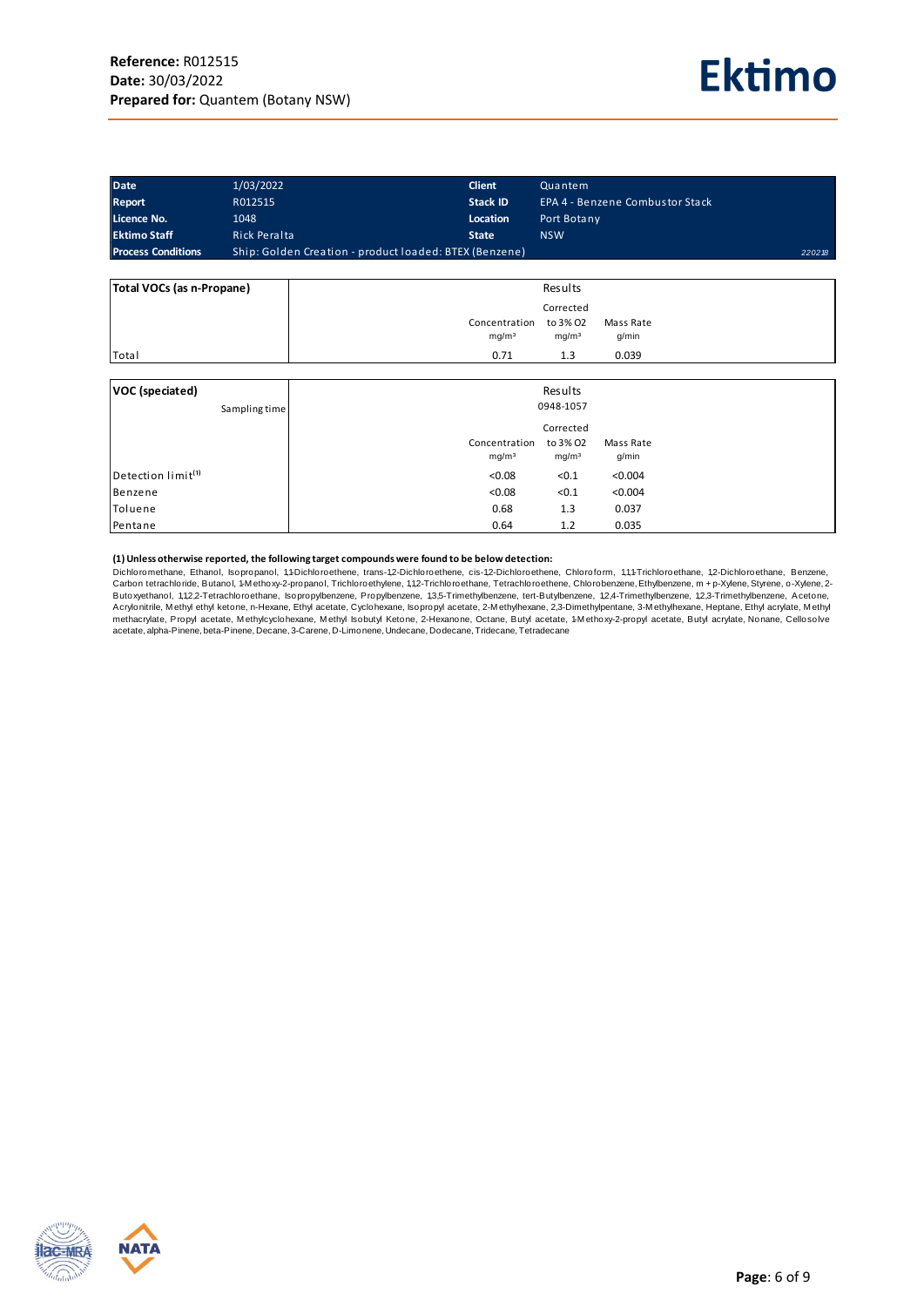

| <b>Date</b>               | 1/03/2022                                              | <b>Client</b>   | Quantem                         |        |
|---------------------------|--------------------------------------------------------|-----------------|---------------------------------|--------|
| <b>Report</b>             | R012515                                                | <b>Stack ID</b> | EPA 4 - Benzene Combustor Stack |        |
| Licence No.               | 1048                                                   | Location        | Port Botany                     |        |
| <b>Ektimo Staff</b>       | Rick Peralta                                           | <b>State</b>    | <b>NSW</b>                      |        |
| <b>Process Conditions</b> | Ship: Golden Creation - product loaded: BTEX (Benzene) |                 |                                 | 220218 |

| Total VOCs (as n-Propane) | Results                                                                                   |
|---------------------------|-------------------------------------------------------------------------------------------|
|                           | Corrected                                                                                 |
|                           | to 3% O2<br>Mass Rate<br>Concentration<br>mq/m <sup>3</sup><br>mg/m <sup>3</sup><br>g/min |
| Total                     | 0.039<br>0.71<br>1.3                                                                      |

| VOC (speciated)                | Results                                         |
|--------------------------------|-------------------------------------------------|
| Sampling time                  | 0948-1057                                       |
|                                | Corrected                                       |
|                                | Concentration<br>to 3% O2<br>Mass Rate          |
|                                | mg/m <sup>3</sup><br>mg/m <sup>3</sup><br>g/min |
| Detection limit <sup>(1)</sup> | < 0.08<br>< 0.004<br>< 0.1                      |
| Benzene                        | < 0.08<br>< 0.004<br>< 0.1                      |
| Toluene                        | 0.68<br>0.037<br>1.3                            |
| Pentane                        | 0.035<br>0.64<br>1.2                            |

#### **(1) Unless otherwise reported, the following target compounds were found to be below detection:**

Dichloromethane, Ethanol, Isopropanol, 1,1-Dichloroethene, trans-1,2-Dichloroethene, cis-1,2-Dichloroethene, Chloroform, 1,1,1-Trichloroethane, 1,2-Dichloroethane, Benzene, Carbon tetrachloride, Butanol, 1-M ethoxy-2-propanol, Trichloroethylene, 1,1,2-Trichloroethane, Tetrachloroethene, Chlorobenzene, Ethylbenzene, <sup>m</sup> <sup>+</sup> p-Xylene, Styrene, o-Xylene, 2- Butoxyethanol, 1,1,2,2-Tetrachloroethane, Isopropylbenzene, Propylbenzene, 1,3,5-Trimethylbenzene, etrt-Butylbenzene, 1,2,4-Trimethylbenzene, 1,2,3-Trimethylbenzene, Acetone, (1) Unless otherwise reported, the following target compounds were found to be below detection:<br>Dichloromethane, Ethanol, Isopropanol, 1,Puichloroethene, trans-1,2–Dichloroethene, Chloroform, 1,1,4-Trichloroethane, 1,2-Dic acetate, alpha-Pinene, beta-Pinene, Decane, 3-Carene, D-Limonene, Undecane, Dodecane, Tridecane, Tetradecane

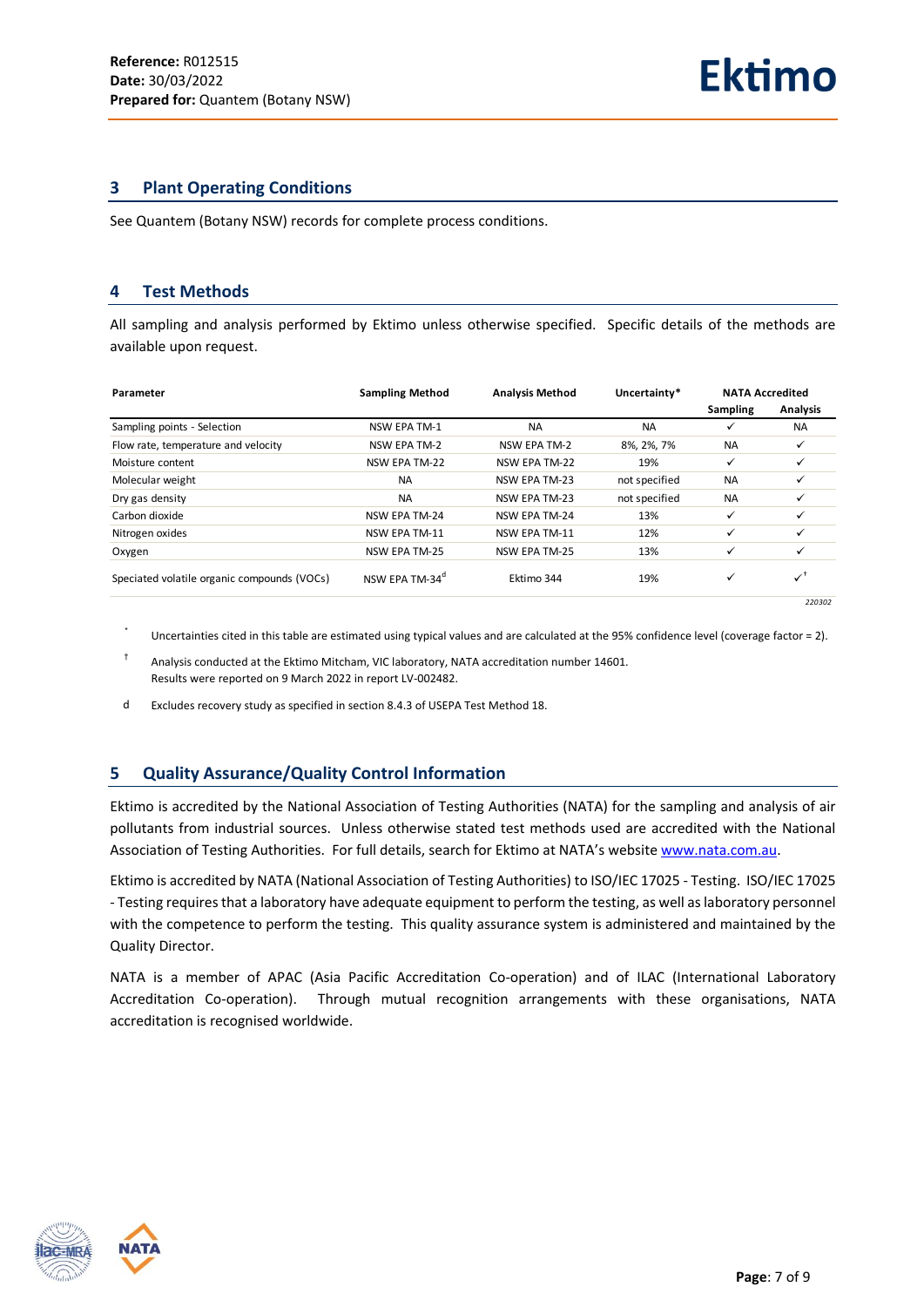#### <span id="page-6-0"></span>**3 Plant Operating Conditions**

<span id="page-6-1"></span>See Quantem (Botany NSW) records for complete process conditions.

#### **4 Test Methods**

All sampling and analysis performed by Ektimo unless otherwise specified. Specific details of the methods are available upon request.

| Parameter                                   | <b>Sampling Method</b><br><b>Analysis Method</b> |                      | Uncertainty*  | <b>NATA Accredited</b> |                           |  |
|---------------------------------------------|--------------------------------------------------|----------------------|---------------|------------------------|---------------------------|--|
|                                             |                                                  |                      |               | Sampling               | Analysis                  |  |
| Sampling points - Selection                 | NSW EPA TM-1                                     | <b>NA</b>            | <b>NA</b>     | ✓                      | <b>NA</b>                 |  |
| Flow rate, temperature and velocity         | NSW EPA TM-2                                     | <b>NSW EPA TM-2</b>  | 8%, 2%, 7%    | <b>NA</b>              | ✓                         |  |
| Moisture content                            | NSW EPA TM-22                                    | NSW EPA TM-22        | 19%           | ✓                      | ✓                         |  |
| Molecular weight                            | <b>NA</b>                                        | <b>NSW EPA TM-23</b> | not specified | <b>NA</b>              |                           |  |
| Dry gas density                             | <b>NA</b>                                        | <b>NSW EPA TM-23</b> | not specified | <b>NA</b>              |                           |  |
| Carbon dioxide                              | NSW EPA TM-24                                    | NSW EPA TM-24        | 13%           | ✓                      |                           |  |
| Nitrogen oxides                             | NSW EPA TM-11                                    | NSW EPA TM-11        | 12%           | ✓                      |                           |  |
| Oxygen                                      | NSW EPA TM-25                                    | <b>NSW EPA TM-25</b> | 13%           | $\checkmark$           |                           |  |
| Speciated volatile organic compounds (VOCs) | NSW EPA TM-34 <sup>°</sup>                       | Ektimo 344           | 19%           | ✓                      | $\checkmark$ <sup>+</sup> |  |
|                                             |                                                  |                      |               |                        | 220302                    |  |

\* Uncertainties cited in this table are estimated using typical values and are calculated at the 95% confidence level (coverage factor = 2).

† Analysis conducted at the Ektimo Mitcham, VIC laboratory, NATA accreditation number 14601. Results were reported on 9 March 2022 in report LV-002482.

<span id="page-6-2"></span>d Excludes recovery study as specified in section 8.4.3 of USEPA Test Method 18.

## **5 Quality Assurance/Quality Control Information**

Ektimo is accredited by the National Association of Testing Authorities (NATA) for the sampling and analysis of air pollutants from industrial sources. Unless otherwise stated test methods used are accredited with the National Association of Testing Authorities. For full details, search for Ektimo at NATA's website [www.nata.com.au.](http://www.nata.com.au/)

Ektimo is accredited by NATA (National Association of Testing Authorities) to ISO/IEC 17025 - Testing. ISO/IEC 17025 - Testing requires that a laboratory have adequate equipment to perform the testing, as well as laboratory personnel with the competence to perform the testing. This quality assurance system is administered and maintained by the Quality Director.

NATA is a member of APAC (Asia Pacific Accreditation Co-operation) and of ILAC (International Laboratory Accreditation Co-operation). Through mutual recognition arrangements with these organisations, NATA accreditation is recognised worldwide.

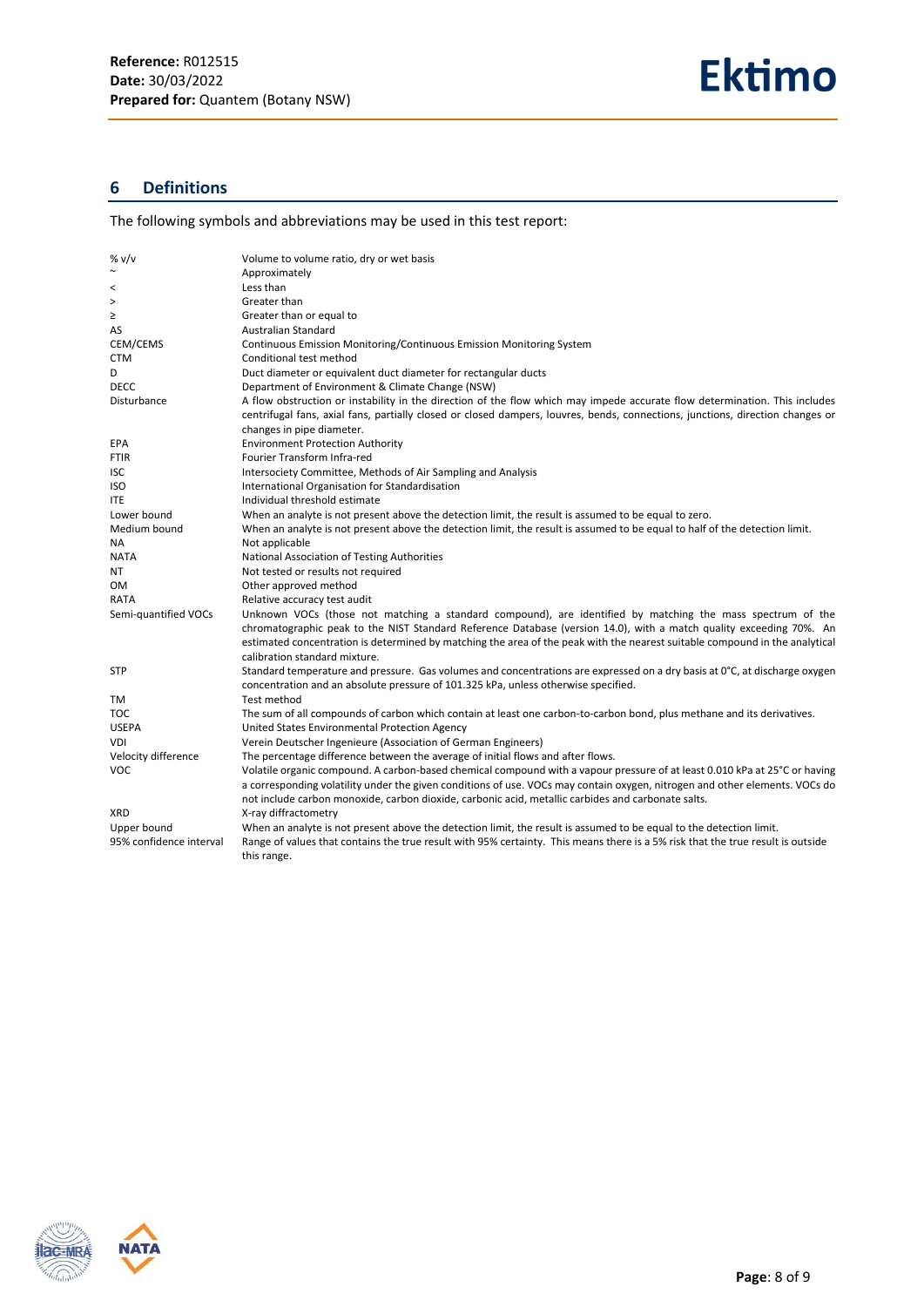# <span id="page-7-0"></span>**6 Definitions**

The following symbols and abbreviations may be used in this test report:

| % v/v                   | Volume to volume ratio, dry or wet basis                                                                                                                                                                                                                                                                                                                         |
|-------------------------|------------------------------------------------------------------------------------------------------------------------------------------------------------------------------------------------------------------------------------------------------------------------------------------------------------------------------------------------------------------|
| $\sim$                  | Approximately                                                                                                                                                                                                                                                                                                                                                    |
| $\,<\,$                 | Less than                                                                                                                                                                                                                                                                                                                                                        |
| >                       | Greater than                                                                                                                                                                                                                                                                                                                                                     |
| ≥                       | Greater than or equal to                                                                                                                                                                                                                                                                                                                                         |
| AS                      | Australian Standard                                                                                                                                                                                                                                                                                                                                              |
| CEM/CEMS                | Continuous Emission Monitoring/Continuous Emission Monitoring System                                                                                                                                                                                                                                                                                             |
| <b>CTM</b>              | Conditional test method                                                                                                                                                                                                                                                                                                                                          |
| D                       | Duct diameter or equivalent duct diameter for rectangular ducts                                                                                                                                                                                                                                                                                                  |
| <b>DECC</b>             | Department of Environment & Climate Change (NSW)                                                                                                                                                                                                                                                                                                                 |
| Disturbance             | A flow obstruction or instability in the direction of the flow which may impede accurate flow determination. This includes                                                                                                                                                                                                                                       |
|                         | centrifugal fans, axial fans, partially closed or closed dampers, louvres, bends, connections, junctions, direction changes or                                                                                                                                                                                                                                   |
|                         | changes in pipe diameter.                                                                                                                                                                                                                                                                                                                                        |
| EPA                     | <b>Environment Protection Authority</b>                                                                                                                                                                                                                                                                                                                          |
| FTIR                    | Fourier Transform Infra-red                                                                                                                                                                                                                                                                                                                                      |
| ISC                     | Intersociety Committee, Methods of Air Sampling and Analysis                                                                                                                                                                                                                                                                                                     |
| ISO                     | International Organisation for Standardisation                                                                                                                                                                                                                                                                                                                   |
| <b>ITE</b>              | Individual threshold estimate                                                                                                                                                                                                                                                                                                                                    |
| Lower bound             | When an analyte is not present above the detection limit, the result is assumed to be equal to zero.                                                                                                                                                                                                                                                             |
| Medium bound            | When an analyte is not present above the detection limit, the result is assumed to be equal to half of the detection limit.                                                                                                                                                                                                                                      |
| NA                      | Not applicable                                                                                                                                                                                                                                                                                                                                                   |
| <b>NATA</b>             | National Association of Testing Authorities                                                                                                                                                                                                                                                                                                                      |
| NΤ                      | Not tested or results not required                                                                                                                                                                                                                                                                                                                               |
| 0M                      | Other approved method                                                                                                                                                                                                                                                                                                                                            |
| RATA                    | Relative accuracy test audit                                                                                                                                                                                                                                                                                                                                     |
| Semi-quantified VOCs    | Unknown VOCs (those not matching a standard compound), are identified by matching the mass spectrum of the<br>chromatographic peak to the NIST Standard Reference Database (version 14.0), with a match quality exceeding 70%. An<br>estimated concentration is determined by matching the area of the peak with the nearest suitable compound in the analytical |
|                         | calibration standard mixture.                                                                                                                                                                                                                                                                                                                                    |
| STP                     | Standard temperature and pressure. Gas volumes and concentrations are expressed on a dry basis at 0°C, at discharge oxygen                                                                                                                                                                                                                                       |
|                         | concentration and an absolute pressure of 101.325 kPa, unless otherwise specified.                                                                                                                                                                                                                                                                               |
| TM                      | Test method                                                                                                                                                                                                                                                                                                                                                      |
| TOC                     | The sum of all compounds of carbon which contain at least one carbon-to-carbon bond, plus methane and its derivatives.                                                                                                                                                                                                                                           |
| <b>USEPA</b>            | United States Environmental Protection Agency                                                                                                                                                                                                                                                                                                                    |
| VDI                     | Verein Deutscher Ingenieure (Association of German Engineers)                                                                                                                                                                                                                                                                                                    |
| Velocity difference     | The percentage difference between the average of initial flows and after flows.                                                                                                                                                                                                                                                                                  |
| <b>VOC</b>              | Volatile organic compound. A carbon-based chemical compound with a vapour pressure of at least 0.010 kPa at 25°C or having                                                                                                                                                                                                                                       |
|                         | a corresponding volatility under the given conditions of use. VOCs may contain oxygen, nitrogen and other elements. VOCs do                                                                                                                                                                                                                                      |
|                         | not include carbon monoxide, carbon dioxide, carbonic acid, metallic carbides and carbonate salts.                                                                                                                                                                                                                                                               |
| <b>XRD</b>              | X-ray diffractometry                                                                                                                                                                                                                                                                                                                                             |
| Upper bound             | When an analyte is not present above the detection limit, the result is assumed to be equal to the detection limit.                                                                                                                                                                                                                                              |
| 95% confidence interval | Range of values that contains the true result with 95% certainty. This means there is a 5% risk that the true result is outside<br>this range.                                                                                                                                                                                                                   |

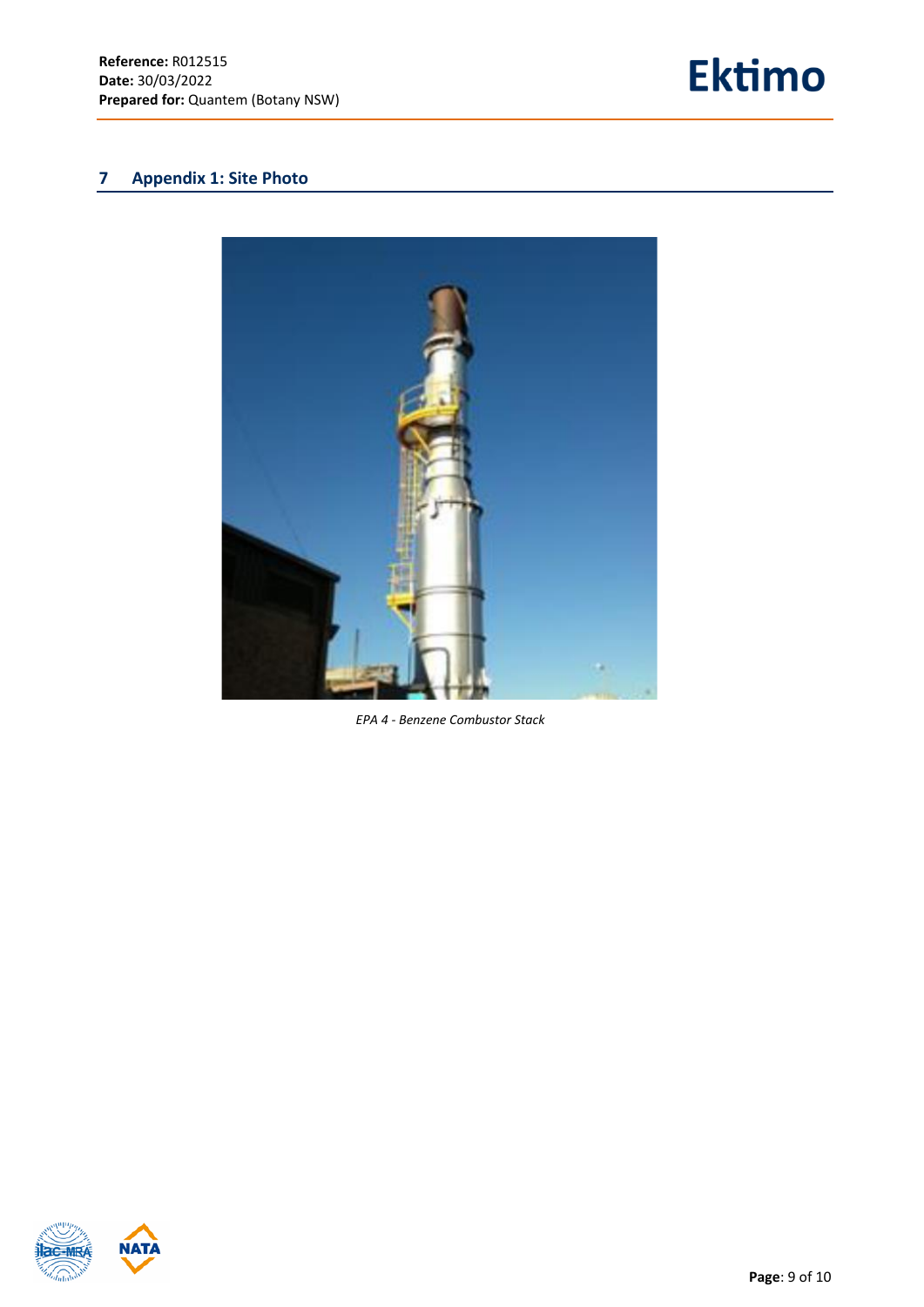

# <span id="page-8-0"></span>**7 Appendix 1: Site Photo**



*EPA 4 - Benzene Combustor Stack*